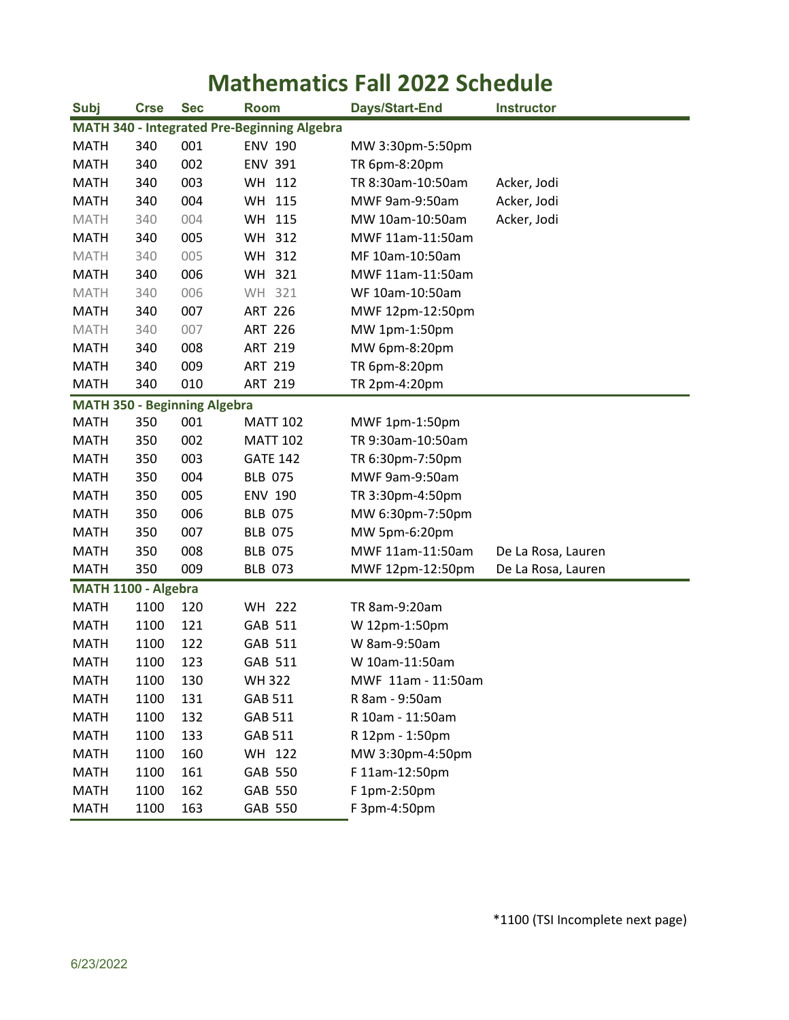## **Mathematics Fall 2022 Schedule**

| <b>Subj</b>                                 | <b>Crse</b> | <b>Sec</b>                          | <b>Room</b>      | Days/Start-End                   | <b>Instructor</b>  |  |  |
|---------------------------------------------|-------------|-------------------------------------|------------------|----------------------------------|--------------------|--|--|
| MATH 340 - Integrated Pre-Beginning Algebra |             |                                     |                  |                                  |                    |  |  |
| <b>MATH</b>                                 | 340         | 001                                 | <b>ENV 190</b>   | MW 3:30pm-5:50pm                 |                    |  |  |
| <b>MATH</b>                                 | 340         | 002                                 | <b>ENV 391</b>   | TR 6pm-8:20pm                    |                    |  |  |
| <b>MATH</b>                                 | 340         | 003                                 | WH 112           | TR 8:30am-10:50am<br>Acker, Jodi |                    |  |  |
| <b>MATH</b>                                 | 340         | 004                                 | WH 115           | MWF 9am-9:50am                   | Acker, Jodi        |  |  |
| <b>MATH</b>                                 | 340         | 004                                 | WH 115           | MW 10am-10:50am                  | Acker, Jodi        |  |  |
| <b>MATH</b>                                 | 340         | 005                                 | WH 312           | MWF 11am-11:50am                 |                    |  |  |
| <b>MATH</b>                                 | 340         | 005                                 | <b>WH</b><br>312 | MF 10am-10:50am                  |                    |  |  |
| <b>MATH</b>                                 | 340         | 006                                 | WH 321           | MWF 11am-11:50am                 |                    |  |  |
| <b>MATH</b>                                 | 340         | 006                                 | WH 321           | WF 10am-10:50am                  |                    |  |  |
| <b>MATH</b>                                 | 340         | 007                                 | <b>ART 226</b>   | MWF 12pm-12:50pm                 |                    |  |  |
| <b>MATH</b>                                 | 340         | 007                                 | <b>ART 226</b>   | MW 1pm-1:50pm                    |                    |  |  |
| <b>MATH</b>                                 | 340         | 008                                 | <b>ART 219</b>   | MW 6pm-8:20pm                    |                    |  |  |
| <b>MATH</b>                                 | 340         | 009                                 | <b>ART 219</b>   | TR 6pm-8:20pm                    |                    |  |  |
| <b>MATH</b>                                 | 340         | 010                                 | <b>ART 219</b>   | TR 2pm-4:20pm                    |                    |  |  |
|                                             |             | <b>MATH 350 - Beginning Algebra</b> |                  |                                  |                    |  |  |
| <b>MATH</b>                                 | 350         | 001                                 | <b>MATT 102</b>  | MWF 1pm-1:50pm                   |                    |  |  |
| <b>MATH</b>                                 | 350         | 002                                 | <b>MATT 102</b>  | TR 9:30am-10:50am                |                    |  |  |
| <b>MATH</b>                                 | 350         | 003                                 | <b>GATE 142</b>  | TR 6:30pm-7:50pm                 |                    |  |  |
| <b>MATH</b>                                 | 350         | 004                                 | <b>BLB 075</b>   | MWF 9am-9:50am                   |                    |  |  |
| <b>MATH</b>                                 | 350         | 005                                 | <b>ENV 190</b>   | TR 3:30pm-4:50pm                 |                    |  |  |
| <b>MATH</b>                                 | 350         | 006                                 | <b>BLB 075</b>   | MW 6:30pm-7:50pm                 |                    |  |  |
| <b>MATH</b>                                 | 350         | 007                                 | <b>BLB 075</b>   | MW 5pm-6:20pm                    |                    |  |  |
| <b>MATH</b>                                 | 350         | 008                                 | <b>BLB 075</b>   | MWF 11am-11:50am                 | De La Rosa, Lauren |  |  |
| <b>MATH</b>                                 | 350         | 009                                 | <b>BLB 073</b>   | MWF 12pm-12:50pm                 | De La Rosa, Lauren |  |  |
| MATH 1100 - Algebra                         |             |                                     |                  |                                  |                    |  |  |
| <b>MATH</b>                                 | 1100        | 120                                 | WH 222           | TR 8am-9:20am                    |                    |  |  |
| <b>MATH</b>                                 | 1100        | 121                                 | GAB 511          | W 12pm-1:50pm                    |                    |  |  |
| <b>MATH</b>                                 | 1100        | 122                                 | GAB 511          | W 8am-9:50am                     |                    |  |  |
| <b>MATH</b>                                 | 1100        | 123                                 | GAB 511          | W 10am-11:50am                   |                    |  |  |
| <b>MATH</b>                                 | 1100        | 130                                 | <b>WH322</b>     | MWF 11am - 11:50am               |                    |  |  |
| <b>MATH</b>                                 | 1100        | 131                                 | GAB 511          | R 8am - 9:50am                   |                    |  |  |
| <b>MATH</b>                                 | 1100        | 132                                 | GAB 511          | R 10am - 11:50am                 |                    |  |  |
| <b>MATH</b>                                 | 1100        | 133                                 | GAB 511          | R 12pm - 1:50pm                  |                    |  |  |
| <b>MATH</b>                                 | 1100        | 160                                 | WH 122           | MW 3:30pm-4:50pm                 |                    |  |  |
| <b>MATH</b>                                 | 1100        | 161                                 | GAB 550          | F 11am-12:50pm                   |                    |  |  |
| <b>MATH</b>                                 | 1100        | 162                                 | GAB 550          | F 1pm-2:50pm                     |                    |  |  |
| <b>MATH</b>                                 | 1100        | 163                                 | GAB 550          | F 3pm-4:50pm                     |                    |  |  |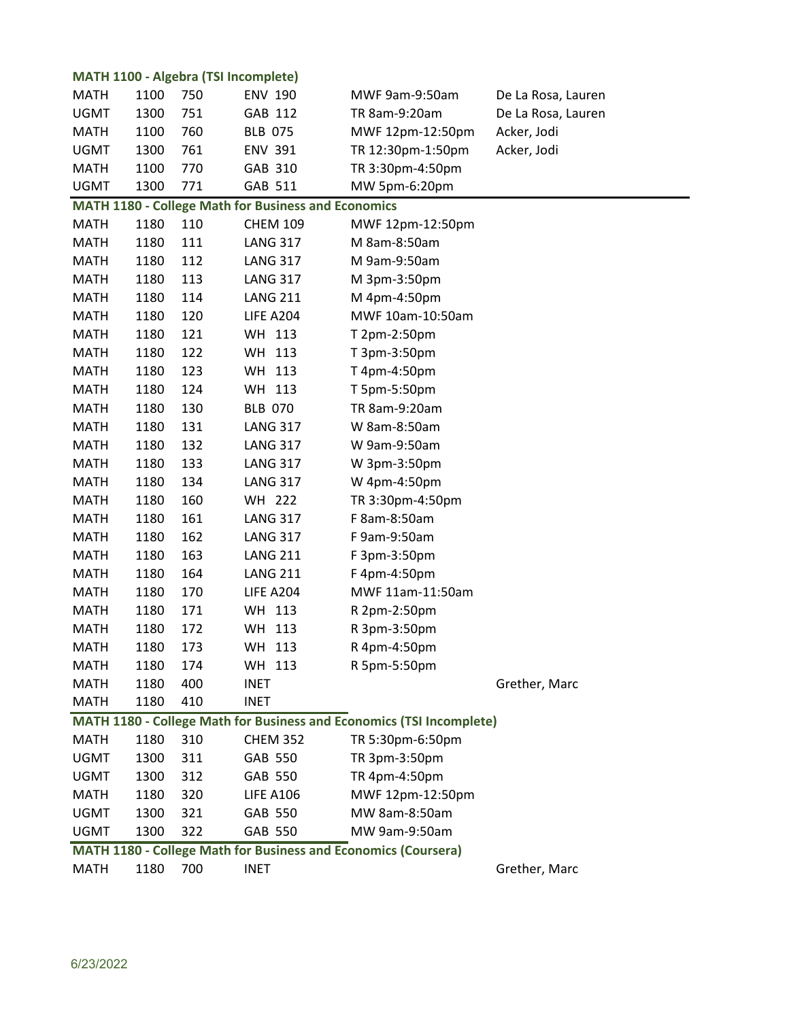|             |      | <b>MATH 1100 - Algebra (TSI Incomplete)</b> |                                                            |                                                                      |                    |
|-------------|------|---------------------------------------------|------------------------------------------------------------|----------------------------------------------------------------------|--------------------|
| <b>MATH</b> | 1100 | 750                                         | <b>ENV 190</b>                                             | MWF 9am-9:50am                                                       | De La Rosa, Lauren |
| <b>UGMT</b> | 1300 | 751                                         | GAB 112                                                    | TR 8am-9:20am                                                        | De La Rosa, Lauren |
| <b>MATH</b> | 1100 | 760                                         | <b>BLB 075</b>                                             | MWF 12pm-12:50pm                                                     | Acker, Jodi        |
| <b>UGMT</b> | 1300 | 761                                         | <b>ENV 391</b>                                             | TR 12:30pm-1:50pm                                                    | Acker, Jodi        |
| <b>MATH</b> | 1100 | 770                                         | GAB 310                                                    | TR 3:30pm-4:50pm                                                     |                    |
| <b>UGMT</b> | 1300 | 771                                         | GAB 511                                                    | MW 5pm-6:20pm                                                        |                    |
|             |      |                                             | <b>MATH 1180 - College Math for Business and Economics</b> |                                                                      |                    |
| <b>MATH</b> | 1180 | 110                                         | <b>CHEM 109</b>                                            | MWF 12pm-12:50pm                                                     |                    |
| <b>MATH</b> | 1180 | 111                                         | <b>LANG 317</b>                                            | M 8am-8:50am                                                         |                    |
| <b>MATH</b> | 1180 | 112                                         | <b>LANG 317</b>                                            | M 9am-9:50am                                                         |                    |
| <b>MATH</b> | 1180 | 113                                         | <b>LANG 317</b>                                            | M 3pm-3:50pm                                                         |                    |
| <b>MATH</b> | 1180 | 114                                         | <b>LANG 211</b>                                            | M 4pm-4:50pm                                                         |                    |
| <b>MATH</b> | 1180 | 120                                         | LIFE A204                                                  | MWF 10am-10:50am                                                     |                    |
| <b>MATH</b> | 1180 | 121                                         | WH 113                                                     | T 2pm-2:50pm                                                         |                    |
| <b>MATH</b> | 1180 | 122                                         | WH 113                                                     | T 3pm-3:50pm                                                         |                    |
| <b>MATH</b> | 1180 | 123                                         | WH 113                                                     | T 4pm-4:50pm                                                         |                    |
| <b>MATH</b> | 1180 | 124                                         | WH 113                                                     | T 5pm-5:50pm                                                         |                    |
| <b>MATH</b> | 1180 | 130                                         | <b>BLB 070</b>                                             | TR 8am-9:20am                                                        |                    |
| <b>MATH</b> | 1180 | 131                                         | <b>LANG 317</b>                                            | W 8am-8:50am                                                         |                    |
| <b>MATH</b> | 1180 | 132                                         | <b>LANG 317</b>                                            | W 9am-9:50am                                                         |                    |
| <b>MATH</b> | 1180 | 133                                         | <b>LANG 317</b>                                            | W 3pm-3:50pm                                                         |                    |
| <b>MATH</b> | 1180 | 134                                         | <b>LANG 317</b>                                            | W 4pm-4:50pm                                                         |                    |
| <b>MATH</b> | 1180 | 160                                         | WH 222                                                     | TR 3:30pm-4:50pm                                                     |                    |
| <b>MATH</b> | 1180 | 161                                         | <b>LANG 317</b>                                            | F 8am-8:50am                                                         |                    |
| <b>MATH</b> | 1180 | 162                                         | <b>LANG 317</b>                                            | F 9am-9:50am                                                         |                    |
| <b>MATH</b> | 1180 | 163                                         | <b>LANG 211</b>                                            | F 3pm-3:50pm                                                         |                    |
| <b>MATH</b> | 1180 | 164                                         | <b>LANG 211</b>                                            | F 4pm-4:50pm                                                         |                    |
| <b>MATH</b> | 1180 | 170                                         | LIFE A204                                                  | MWF 11am-11:50am                                                     |                    |
| <b>MATH</b> | 1180 | 171                                         | WH 113                                                     | R 2pm-2:50pm                                                         |                    |
| <b>MATH</b> | 1180 | 172                                         | WH 113                                                     | R 3pm-3:50pm                                                         |                    |
| <b>MATH</b> | 1180 | 173                                         | WH 113                                                     | R 4pm-4:50pm                                                         |                    |
| <b>MATH</b> | 1180 | 174                                         | WH 113                                                     | R 5pm-5:50pm                                                         |                    |
| <b>MATH</b> | 1180 | 400                                         | <b>INET</b>                                                |                                                                      | Grether, Marc      |
| <b>MATH</b> | 1180 | 410                                         | <b>INET</b>                                                |                                                                      |                    |
|             |      |                                             |                                                            | MATH 1180 - College Math for Business and Economics (TSI Incomplete) |                    |
| <b>MATH</b> | 1180 | 310                                         | <b>CHEM 352</b>                                            | TR 5:30pm-6:50pm                                                     |                    |
| <b>UGMT</b> | 1300 | 311                                         | GAB 550                                                    | TR 3pm-3:50pm                                                        |                    |
| <b>UGMT</b> | 1300 | 312                                         | GAB 550                                                    | TR 4pm-4:50pm                                                        |                    |
| <b>MATH</b> | 1180 | 320                                         | <b>LIFE A106</b>                                           | MWF 12pm-12:50pm                                                     |                    |
| <b>UGMT</b> | 1300 | 321                                         | GAB 550                                                    | MW 8am-8:50am                                                        |                    |
| <b>UGMT</b> | 1300 | 322                                         | GAB 550                                                    | MW 9am-9:50am                                                        |                    |
|             |      |                                             |                                                            | MATH 1180 - College Math for Business and Economics (Coursera)       |                    |
| <b>MATH</b> | 1180 | 700                                         | <b>INET</b>                                                |                                                                      | Grether, Marc      |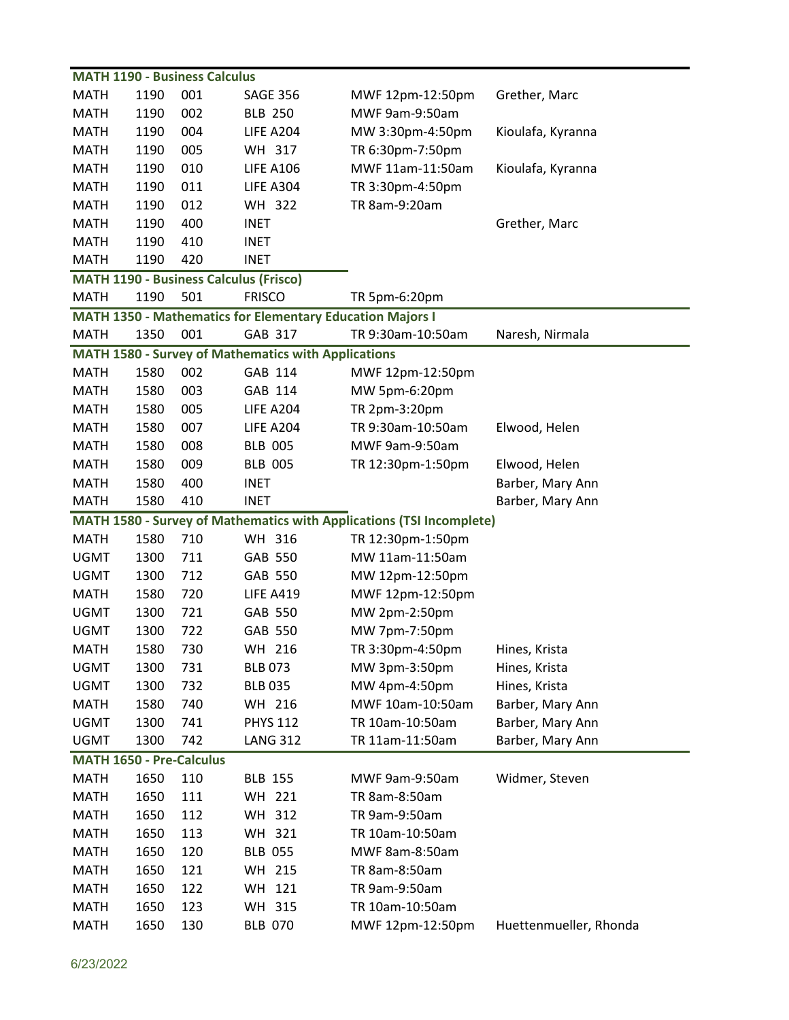| <b>MATH 1190 - Business Calculus</b> |      |     |                                                                  |                                                                      |                   |  |
|--------------------------------------|------|-----|------------------------------------------------------------------|----------------------------------------------------------------------|-------------------|--|
| <b>MATH</b>                          | 1190 | 001 | <b>SAGE 356</b>                                                  | MWF 12pm-12:50pm                                                     | Grether, Marc     |  |
| <b>MATH</b>                          | 1190 | 002 | <b>BLB 250</b>                                                   | MWF 9am-9:50am                                                       |                   |  |
| <b>MATH</b>                          | 1190 | 004 | <b>LIFE A204</b>                                                 | MW 3:30pm-4:50pm                                                     | Kioulafa, Kyranna |  |
| <b>MATH</b>                          | 1190 | 005 | WH 317                                                           | TR 6:30pm-7:50pm                                                     |                   |  |
| <b>MATH</b>                          | 1190 | 010 | <b>LIFE A106</b>                                                 | MWF 11am-11:50am                                                     | Kioulafa, Kyranna |  |
| <b>MATH</b>                          | 1190 | 011 | <b>LIFE A304</b>                                                 | TR 3:30pm-4:50pm                                                     |                   |  |
| <b>MATH</b>                          | 1190 | 012 | WH 322                                                           | TR 8am-9:20am                                                        |                   |  |
| <b>MATH</b>                          | 1190 | 400 | <b>INET</b>                                                      |                                                                      | Grether, Marc     |  |
| <b>MATH</b>                          | 1190 | 410 | <b>INET</b>                                                      |                                                                      |                   |  |
| <b>MATH</b>                          | 1190 | 420 | <b>INET</b>                                                      |                                                                      |                   |  |
|                                      |      |     | <b>MATH 1190 - Business Calculus (Frisco)</b>                    |                                                                      |                   |  |
| <b>MATH</b>                          | 1190 | 501 | <b>FRISCO</b>                                                    | TR 5pm-6:20pm                                                        |                   |  |
|                                      |      |     | <b>MATH 1350 - Mathematics for Elementary Education Majors I</b> |                                                                      |                   |  |
| <b>MATH</b>                          | 1350 | 001 | GAB 317                                                          | TR 9:30am-10:50am                                                    | Naresh, Nirmala   |  |
|                                      |      |     | <b>MATH 1580 - Survey of Mathematics with Applications</b>       |                                                                      |                   |  |
| <b>MATH</b>                          | 1580 | 002 | GAB 114                                                          | MWF 12pm-12:50pm                                                     |                   |  |
| <b>MATH</b>                          | 1580 | 003 | GAB 114                                                          | MW 5pm-6:20pm                                                        |                   |  |
| <b>MATH</b>                          | 1580 | 005 | <b>LIFE A204</b>                                                 | TR 2pm-3:20pm                                                        |                   |  |
| <b>MATH</b>                          | 1580 | 007 | <b>LIFE A204</b>                                                 | TR 9:30am-10:50am                                                    | Elwood, Helen     |  |
| <b>MATH</b>                          | 1580 | 008 | <b>BLB 005</b>                                                   | MWF 9am-9:50am                                                       |                   |  |
| <b>MATH</b>                          | 1580 | 009 | <b>BLB 005</b>                                                   | TR 12:30pm-1:50pm                                                    | Elwood, Helen     |  |
| <b>MATH</b>                          | 1580 | 400 | <b>INET</b>                                                      |                                                                      | Barber, Mary Ann  |  |
| <b>MATH</b>                          | 1580 | 410 | <b>INET</b>                                                      |                                                                      | Barber, Mary Ann  |  |
|                                      |      |     |                                                                  | MATH 1580 - Survey of Mathematics with Applications (TSI Incomplete) |                   |  |
| <b>MATH</b>                          | 1580 | 710 | WH 316                                                           | TR 12:30pm-1:50pm                                                    |                   |  |
| <b>UGMT</b>                          | 1300 | 711 | GAB 550                                                          | MW 11am-11:50am                                                      |                   |  |
| <b>UGMT</b>                          | 1300 | 712 | GAB 550                                                          | MW 12pm-12:50pm                                                      |                   |  |
|                                      |      |     |                                                                  |                                                                      |                   |  |
| <b>MATH</b>                          | 1580 | 720 | <b>LIFE A419</b>                                                 | MWF 12pm-12:50pm                                                     |                   |  |
| <b>UGMT</b>                          | 1300 | 721 | GAB 550                                                          | MW 2pm-2:50pm                                                        |                   |  |
| <b>UGMT</b>                          | 1300 | 722 | <b>GAB 550</b>                                                   | MW 7pm-7:50pm                                                        |                   |  |
| <b>MATH</b>                          | 1580 | 730 | WH 216                                                           | TR 3:30pm-4:50pm                                                     | Hines, Krista     |  |
| <b>UGMT</b>                          | 1300 | 731 | <b>BLB 073</b>                                                   | MW 3pm-3:50pm                                                        | Hines, Krista     |  |
| <b>UGMT</b>                          | 1300 | 732 | <b>BLB 035</b>                                                   | MW 4pm-4:50pm                                                        | Hines, Krista     |  |
| <b>MATH</b>                          | 1580 | 740 | WH 216                                                           | MWF 10am-10:50am                                                     | Barber, Mary Ann  |  |
| <b>UGMT</b>                          | 1300 | 741 | <b>PHYS 112</b>                                                  | TR 10am-10:50am                                                      | Barber, Mary Ann  |  |
| <b>UGMT</b>                          | 1300 | 742 | <b>LANG 312</b>                                                  | TR 11am-11:50am                                                      | Barber, Mary Ann  |  |
| MATH 1650 - Pre-Calculus             |      |     |                                                                  |                                                                      |                   |  |
| <b>MATH</b>                          | 1650 | 110 | <b>BLB 155</b>                                                   | MWF 9am-9:50am                                                       | Widmer, Steven    |  |
| <b>MATH</b>                          | 1650 | 111 | WH 221                                                           | TR 8am-8:50am                                                        |                   |  |
| <b>MATH</b>                          | 1650 | 112 | WH 312                                                           | TR 9am-9:50am                                                        |                   |  |
| <b>MATH</b>                          | 1650 | 113 | WH 321                                                           | TR 10am-10:50am                                                      |                   |  |
| <b>MATH</b>                          | 1650 | 120 | <b>BLB 055</b>                                                   | MWF 8am-8:50am                                                       |                   |  |
| <b>MATH</b>                          | 1650 | 121 | WH 215                                                           | TR 8am-8:50am                                                        |                   |  |
| <b>MATH</b>                          | 1650 | 122 | WH 121                                                           | TR 9am-9:50am                                                        |                   |  |
| <b>MATH</b>                          | 1650 | 123 | WH 315                                                           | TR 10am-10:50am                                                      |                   |  |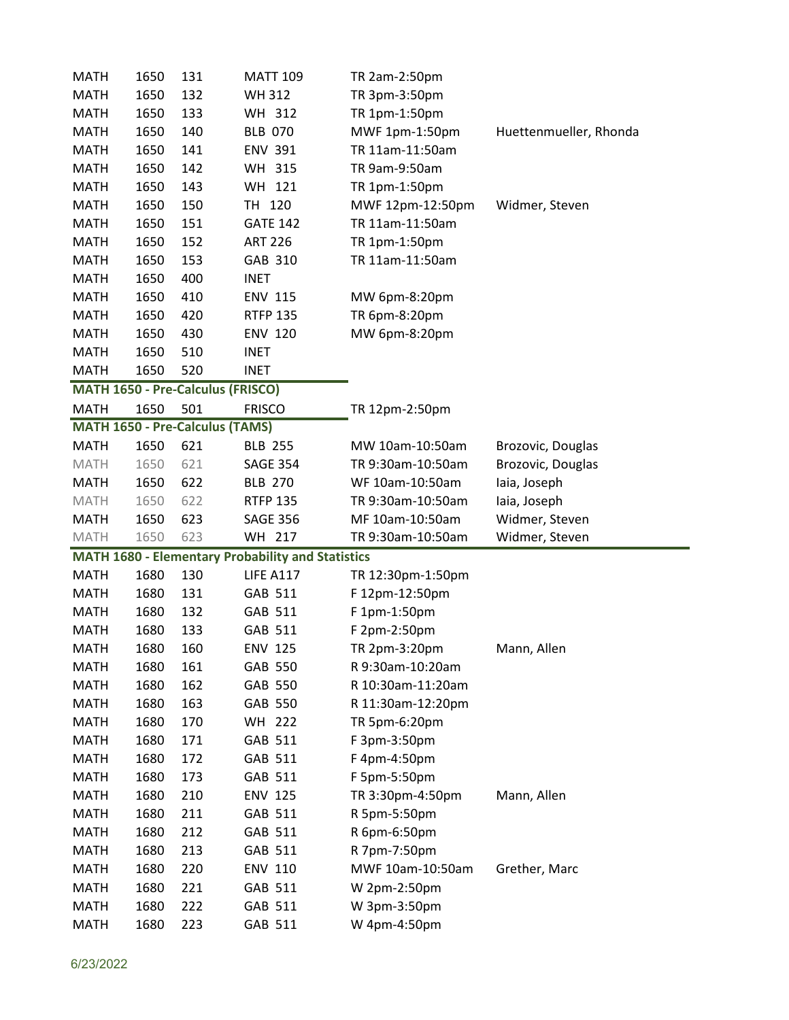| <b>MATH</b>                | 1650         | 131                                    | <b>MATT 109</b>                                          | TR 2am-2:50pm                |                        |
|----------------------------|--------------|----------------------------------------|----------------------------------------------------------|------------------------------|------------------------|
| <b>MATH</b>                | 1650         | 132                                    | <b>WH312</b>                                             | TR 3pm-3:50pm                |                        |
| <b>MATH</b>                | 1650         | 133                                    | WH 312                                                   | TR 1pm-1:50pm                |                        |
| <b>MATH</b>                | 1650         | 140                                    | <b>BLB 070</b>                                           | MWF 1pm-1:50pm               | Huettenmueller, Rhonda |
| <b>MATH</b>                | 1650         | 141                                    | <b>ENV 391</b>                                           | TR 11am-11:50am              |                        |
| <b>MATH</b>                | 1650         | 142                                    | WH 315                                                   | TR 9am-9:50am                |                        |
| <b>MATH</b>                | 1650         | 143                                    | WH 121                                                   | TR 1pm-1:50pm                |                        |
| <b>MATH</b>                | 1650         | 150                                    | TH 120                                                   | MWF 12pm-12:50pm             | Widmer, Steven         |
| <b>MATH</b>                | 1650         | 151                                    | <b>GATE 142</b>                                          | TR 11am-11:50am              |                        |
| <b>MATH</b>                | 1650         | 152                                    | <b>ART 226</b>                                           | TR 1pm-1:50pm                |                        |
| <b>MATH</b>                | 1650         | 153                                    | GAB 310                                                  | TR 11am-11:50am              |                        |
| <b>MATH</b>                | 1650         | 400                                    | <b>INET</b>                                              |                              |                        |
| <b>MATH</b>                | 1650         | 410                                    | <b>ENV 115</b>                                           | MW 6pm-8:20pm                |                        |
| <b>MATH</b>                | 1650         | 420                                    | <b>RTFP 135</b>                                          | TR 6pm-8:20pm                |                        |
| <b>MATH</b>                | 1650         | 430                                    | <b>ENV 120</b>                                           | MW 6pm-8:20pm                |                        |
| <b>MATH</b>                | 1650         | 510                                    | <b>INET</b>                                              |                              |                        |
| <b>MATH</b>                | 1650         | 520                                    | <b>INET</b>                                              |                              |                        |
|                            |              | MATH 1650 - Pre-Calculus (FRISCO)      |                                                          |                              |                        |
| <b>MATH</b>                | 1650         | 501                                    | <b>FRISCO</b>                                            | TR 12pm-2:50pm               |                        |
|                            |              | <b>MATH 1650 - Pre-Calculus (TAMS)</b> |                                                          |                              |                        |
| <b>MATH</b>                | 1650         | 621                                    | <b>BLB 255</b>                                           | MW 10am-10:50am              | Brozovic, Douglas      |
| <b>MATH</b>                | 1650         | 621                                    | <b>SAGE 354</b>                                          | TR 9:30am-10:50am            | Brozovic, Douglas      |
| <b>MATH</b>                | 1650         | 622                                    | <b>BLB 270</b>                                           | WF 10am-10:50am              | laia, Joseph           |
| <b>MATH</b>                | 1650         |                                        | <b>RTFP 135</b>                                          | TR 9:30am-10:50am            | laia, Joseph           |
|                            |              | 622                                    |                                                          |                              |                        |
| <b>MATH</b>                | 1650         | 623                                    | <b>SAGE 356</b>                                          | MF 10am-10:50am              | Widmer, Steven         |
| <b>MATH</b>                | 1650         | 623                                    | WH 217                                                   | TR 9:30am-10:50am            | Widmer, Steven         |
|                            |              |                                        | <b>MATH 1680 - Elementary Probability and Statistics</b> |                              |                        |
| <b>MATH</b>                | 1680         | 130                                    | <b>LIFE A117</b>                                         | TR 12:30pm-1:50pm            |                        |
| <b>MATH</b>                | 1680         | 131                                    | GAB 511                                                  | F 12pm-12:50pm               |                        |
| <b>MATH</b>                | 1680         | 132                                    | GAB 511                                                  | F 1pm-1:50pm                 |                        |
| <b>MATH</b>                | 1680         | 133                                    | GAB 511                                                  | F 2pm-2:50pm                 |                        |
| <b>MATH</b>                | 1680         | 160                                    | <b>ENV 125</b>                                           | TR 2pm-3:20pm                | Mann, Allen            |
| <b>MATH</b>                | 1680         | 161                                    | GAB 550                                                  | R 9:30am-10:20am             |                        |
| <b>MATH</b>                | 1680         | 162                                    | GAB 550                                                  | R 10:30am-11:20am            |                        |
| <b>MATH</b>                | 1680         | 163                                    | GAB 550                                                  | R 11:30am-12:20pm            |                        |
| <b>MATH</b>                | 1680         | 170                                    | WH 222                                                   | TR 5pm-6:20pm                |                        |
| <b>MATH</b>                | 1680         | 171                                    | GAB 511                                                  | F 3pm-3:50pm                 |                        |
| <b>MATH</b>                | 1680         | 172                                    | GAB 511                                                  | F 4pm-4:50pm                 |                        |
| <b>MATH</b>                | 1680         | 173                                    | GAB 511                                                  | F 5pm-5:50pm                 |                        |
| <b>MATH</b>                | 1680         | 210                                    | <b>ENV 125</b>                                           | TR 3:30pm-4:50pm             | Mann, Allen            |
| <b>MATH</b>                | 1680         | 211                                    | GAB 511                                                  | R 5pm-5:50pm                 |                        |
| <b>MATH</b>                | 1680         | 212                                    | GAB 511                                                  | R 6pm-6:50pm                 |                        |
| <b>MATH</b>                | 1680         | 213                                    | GAB 511                                                  | R 7pm-7:50pm                 |                        |
| <b>MATH</b>                | 1680         | 220                                    | <b>ENV 110</b>                                           | MWF 10am-10:50am             | Grether, Marc          |
| <b>MATH</b>                | 1680         | 221                                    | GAB 511                                                  | W 2pm-2:50pm                 |                        |
| <b>MATH</b><br><b>MATH</b> | 1680<br>1680 | 222<br>223                             | GAB 511<br>GAB 511                                       | W 3pm-3:50pm<br>W 4pm-4:50pm |                        |

 $\overline{\phantom{0}}$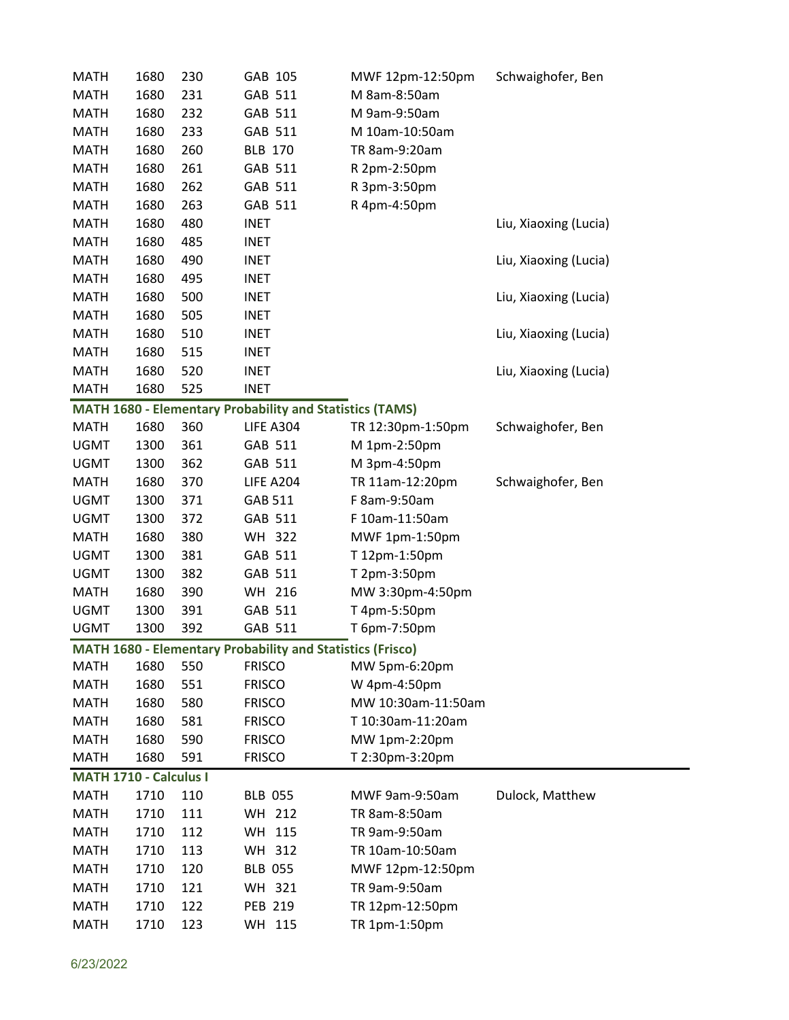| <b>MATH</b>            | 1680 | 230 | GAB 105                                                         | MWF 12pm-12:50pm   | Schwaighofer, Ben     |  |
|------------------------|------|-----|-----------------------------------------------------------------|--------------------|-----------------------|--|
| <b>MATH</b>            | 1680 | 231 | GAB 511                                                         | M 8am-8:50am       |                       |  |
| <b>MATH</b>            | 1680 | 232 | GAB 511                                                         | M 9am-9:50am       |                       |  |
| <b>MATH</b>            | 1680 | 233 | GAB 511                                                         | M 10am-10:50am     |                       |  |
| <b>MATH</b>            | 1680 | 260 | <b>BLB 170</b>                                                  | TR 8am-9:20am      |                       |  |
| <b>MATH</b>            | 1680 | 261 | GAB 511                                                         | R 2pm-2:50pm       |                       |  |
| <b>MATH</b>            | 1680 | 262 | GAB 511                                                         | R 3pm-3:50pm       |                       |  |
| <b>MATH</b>            | 1680 | 263 | GAB 511                                                         | R 4pm-4:50pm       |                       |  |
| <b>MATH</b>            | 1680 | 480 | <b>INET</b>                                                     |                    | Liu, Xiaoxing (Lucia) |  |
| <b>MATH</b>            | 1680 | 485 | <b>INET</b>                                                     |                    |                       |  |
| <b>MATH</b>            | 1680 | 490 | <b>INET</b>                                                     |                    | Liu, Xiaoxing (Lucia) |  |
| <b>MATH</b>            | 1680 | 495 | <b>INET</b>                                                     |                    |                       |  |
| <b>MATH</b>            | 1680 | 500 | <b>INET</b>                                                     |                    | Liu, Xiaoxing (Lucia) |  |
| <b>MATH</b>            | 1680 | 505 | <b>INET</b>                                                     |                    |                       |  |
| <b>MATH</b>            | 1680 | 510 | <b>INET</b>                                                     |                    | Liu, Xiaoxing (Lucia) |  |
| <b>MATH</b>            | 1680 | 515 | <b>INET</b>                                                     |                    |                       |  |
| <b>MATH</b>            | 1680 | 520 | <b>INET</b>                                                     |                    | Liu, Xiaoxing (Lucia) |  |
| <b>MATH</b>            | 1680 | 525 | <b>INET</b>                                                     |                    |                       |  |
|                        |      |     | <b>MATH 1680 - Elementary Probability and Statistics (TAMS)</b> |                    |                       |  |
| <b>MATH</b>            | 1680 | 360 | LIFE A304                                                       | TR 12:30pm-1:50pm  | Schwaighofer, Ben     |  |
| <b>UGMT</b>            | 1300 | 361 | GAB 511                                                         | M 1pm-2:50pm       |                       |  |
| <b>UGMT</b>            | 1300 | 362 | GAB 511                                                         | M 3pm-4:50pm       |                       |  |
| <b>MATH</b>            | 1680 | 370 | LIFE A204                                                       | TR 11am-12:20pm    | Schwaighofer, Ben     |  |
| <b>UGMT</b>            | 1300 | 371 | GAB 511                                                         | F 8am-9:50am       |                       |  |
| <b>UGMT</b>            | 1300 | 372 | GAB 511                                                         | F 10am-11:50am     |                       |  |
| <b>MATH</b>            | 1680 | 380 | WH 322                                                          | MWF 1pm-1:50pm     |                       |  |
| <b>UGMT</b>            | 1300 | 381 | GAB 511                                                         | T 12pm-1:50pm      |                       |  |
| <b>UGMT</b>            | 1300 | 382 | GAB 511                                                         | T 2pm-3:50pm       |                       |  |
| <b>MATH</b>            | 1680 | 390 | WH 216                                                          | MW 3:30pm-4:50pm   |                       |  |
| <b>UGMT</b>            | 1300 | 391 | GAB 511                                                         | T 4pm-5:50pm       |                       |  |
| <b>UGMT</b>            | 1300 | 392 | GAB 511                                                         | T 6pm-7:50pm       |                       |  |
|                        |      |     | MATH 1680 - Elementary Probability and Statistics (Frisco)      |                    |                       |  |
| <b>MATH</b>            | 1680 | 550 | <b>FRISCO</b>                                                   | MW 5pm-6:20pm      |                       |  |
| <b>MATH</b>            | 1680 | 551 | <b>FRISCO</b>                                                   | W 4pm-4:50pm       |                       |  |
| <b>MATH</b>            | 1680 | 580 | <b>FRISCO</b>                                                   | MW 10:30am-11:50am |                       |  |
| <b>MATH</b>            | 1680 | 581 | <b>FRISCO</b>                                                   | T 10:30am-11:20am  |                       |  |
| <b>MATH</b>            | 1680 | 590 | <b>FRISCO</b>                                                   | MW 1pm-2:20pm      |                       |  |
| <b>MATH</b>            | 1680 | 591 | <b>FRISCO</b>                                                   | T 2:30pm-3:20pm    |                       |  |
| MATH 1710 - Calculus I |      |     |                                                                 |                    |                       |  |
| <b>MATH</b>            | 1710 | 110 | <b>BLB 055</b>                                                  | MWF 9am-9:50am     | Dulock, Matthew       |  |
| <b>MATH</b>            | 1710 | 111 | WH 212                                                          | TR 8am-8:50am      |                       |  |
| <b>MATH</b>            | 1710 | 112 | WH 115                                                          | TR 9am-9:50am      |                       |  |
| <b>MATH</b>            | 1710 | 113 | WH 312                                                          | TR 10am-10:50am    |                       |  |
| <b>MATH</b>            | 1710 | 120 | <b>BLB 055</b>                                                  | MWF 12pm-12:50pm   |                       |  |
| <b>MATH</b>            | 1710 | 121 | WH 321                                                          | TR 9am-9:50am      |                       |  |
| <b>MATH</b>            | 1710 | 122 | <b>PEB 219</b>                                                  | TR 12pm-12:50pm    |                       |  |
| <b>MATH</b>            | 1710 | 123 | WH 115                                                          | TR 1pm-1:50pm      |                       |  |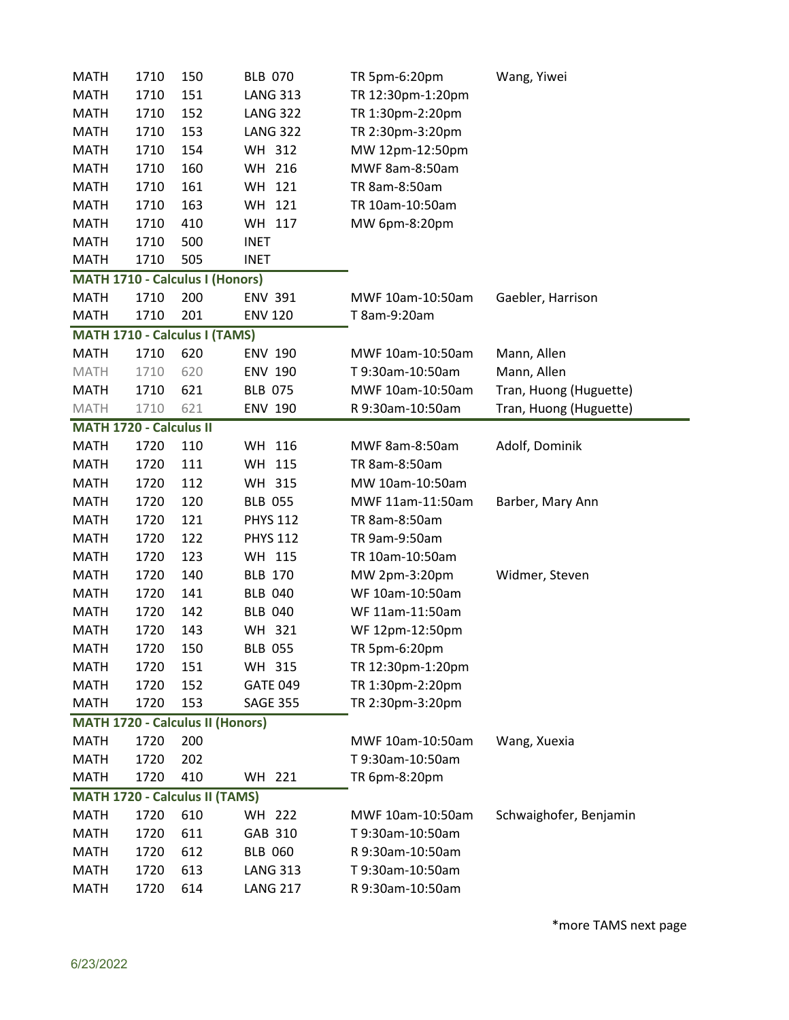| <b>MATH</b>             | 1710 | 150                                     | <b>BLB 070</b>  | TR 5pm-6:20pm     | Wang, Yiwei            |
|-------------------------|------|-----------------------------------------|-----------------|-------------------|------------------------|
| <b>MATH</b>             | 1710 | 151                                     | <b>LANG 313</b> | TR 12:30pm-1:20pm |                        |
| <b>MATH</b>             | 1710 | 152                                     | <b>LANG 322</b> | TR 1:30pm-2:20pm  |                        |
| <b>MATH</b>             | 1710 | 153                                     | <b>LANG 322</b> | TR 2:30pm-3:20pm  |                        |
| <b>MATH</b>             | 1710 | 154                                     | WH 312          | MW 12pm-12:50pm   |                        |
| <b>MATH</b>             | 1710 | 160                                     | WH 216          | MWF 8am-8:50am    |                        |
| <b>MATH</b>             | 1710 | 161                                     | WH 121          | TR 8am-8:50am     |                        |
| <b>MATH</b>             | 1710 | 163                                     | WH 121          | TR 10am-10:50am   |                        |
| <b>MATH</b>             | 1710 | 410                                     | WH 117          | MW 6pm-8:20pm     |                        |
| <b>MATH</b>             | 1710 | 500                                     | <b>INET</b>     |                   |                        |
| <b>MATH</b>             | 1710 | 505                                     | <b>INET</b>     |                   |                        |
|                         |      | <b>MATH 1710 - Calculus I (Honors)</b>  |                 |                   |                        |
| <b>MATH</b>             | 1710 | 200                                     | <b>ENV 391</b>  | MWF 10am-10:50am  | Gaebler, Harrison      |
| <b>MATH</b>             | 1710 | 201                                     | <b>ENV 120</b>  | T 8am-9:20am      |                        |
|                         |      | MATH 1710 - Calculus I (TAMS)           |                 |                   |                        |
| <b>MATH</b>             | 1710 | 620                                     | <b>ENV 190</b>  | MWF 10am-10:50am  | Mann, Allen            |
| <b>MATH</b>             | 1710 | 620                                     | <b>ENV 190</b>  | T 9:30am-10:50am  | Mann, Allen            |
| <b>MATH</b>             | 1710 | 621                                     | <b>BLB 075</b>  | MWF 10am-10:50am  | Tran, Huong (Huguette) |
| <b>MATH</b>             | 1710 | 621                                     | <b>ENV 190</b>  | R 9:30am-10:50am  | Tran, Huong (Huguette) |
| MATH 1720 - Calculus II |      |                                         |                 |                   |                        |
| <b>MATH</b>             | 1720 | 110                                     | WH 116          | MWF 8am-8:50am    | Adolf, Dominik         |
| <b>MATH</b>             | 1720 | 111                                     | WH 115          | TR 8am-8:50am     |                        |
| <b>MATH</b>             | 1720 | 112                                     | WH 315          | MW 10am-10:50am   |                        |
| <b>MATH</b>             | 1720 | 120                                     | <b>BLB 055</b>  | MWF 11am-11:50am  | Barber, Mary Ann       |
| <b>MATH</b>             | 1720 | 121                                     | <b>PHYS 112</b> | TR 8am-8:50am     |                        |
| <b>MATH</b>             | 1720 | 122                                     | <b>PHYS 112</b> | TR 9am-9:50am     |                        |
| <b>MATH</b>             | 1720 | 123                                     | WH 115          | TR 10am-10:50am   |                        |
| <b>MATH</b>             | 1720 | 140                                     | <b>BLB 170</b>  | MW 2pm-3:20pm     | Widmer, Steven         |
| <b>MATH</b>             | 1720 | 141                                     | <b>BLB 040</b>  | WF 10am-10:50am   |                        |
| <b>MATH</b>             | 1720 | 142                                     | <b>BLB 040</b>  | WF 11am-11:50am   |                        |
| <b>MATH</b>             | 1720 | 143                                     | WH 321          | WF 12pm-12:50pm   |                        |
| <b>MATH</b>             | 1720 | 150                                     | <b>BLB 055</b>  | TR 5pm-6:20pm     |                        |
| <b>MATH</b>             | 1720 | 151                                     | WH 315          | TR 12:30pm-1:20pm |                        |
| <b>MATH</b>             | 1720 | 152                                     | <b>GATE 049</b> | TR 1:30pm-2:20pm  |                        |
| <b>MATH</b>             | 1720 | 153                                     | <b>SAGE 355</b> | TR 2:30pm-3:20pm  |                        |
|                         |      | <b>MATH 1720 - Calculus II (Honors)</b> |                 |                   |                        |
| <b>MATH</b>             | 1720 | 200                                     |                 | MWF 10am-10:50am  | Wang, Xuexia           |
| <b>MATH</b>             | 1720 | 202                                     |                 | T 9:30am-10:50am  |                        |
| <b>MATH</b>             | 1720 | 410                                     | WH 221          | TR 6pm-8:20pm     |                        |
|                         |      | MATH 1720 - Calculus II (TAMS)          |                 |                   |                        |
| <b>MATH</b>             | 1720 | 610                                     | WH 222          | MWF 10am-10:50am  | Schwaighofer, Benjamin |
| <b>MATH</b>             | 1720 | 611                                     | GAB 310         | T 9:30am-10:50am  |                        |
| <b>MATH</b>             | 1720 | 612                                     | <b>BLB 060</b>  | R 9:30am-10:50am  |                        |
| <b>MATH</b>             | 1720 | 613                                     | <b>LANG 313</b> | T9:30am-10:50am   |                        |
| <b>MATH</b>             | 1720 | 614                                     | <b>LANG 217</b> | R 9:30am-10:50am  |                        |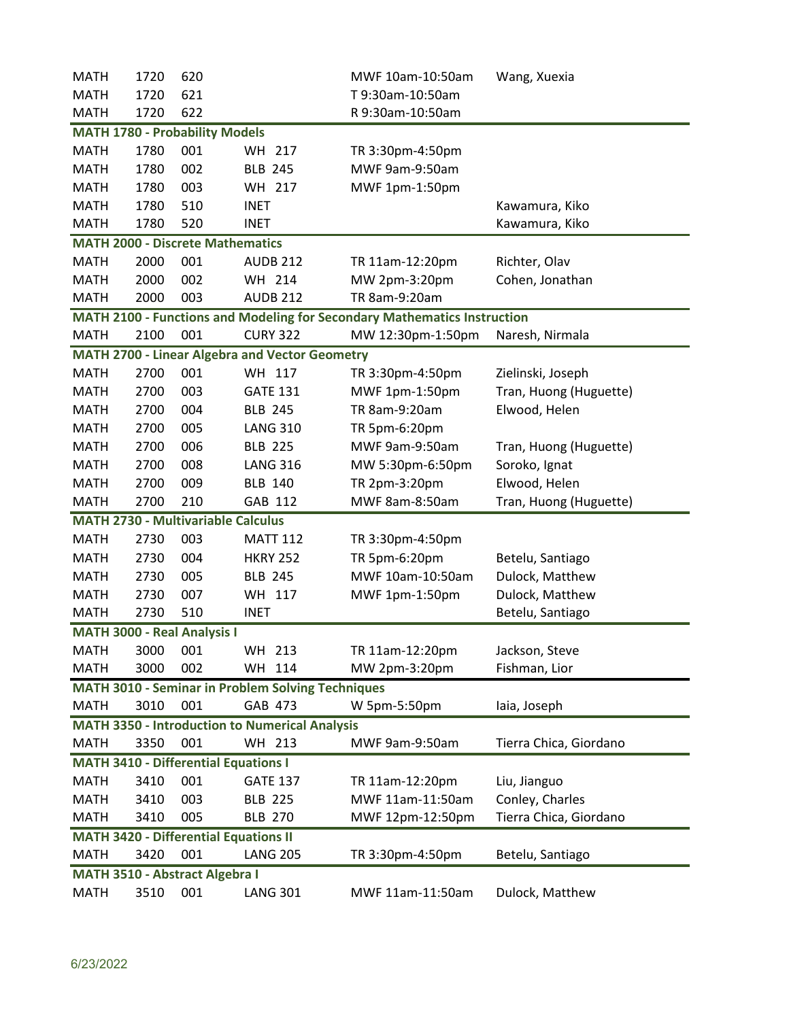| Tran, Huong (Huguette) |
|------------------------|
|                        |
|                        |
| Tran, Huong (Huguette) |
|                        |
|                        |
| Tran, Huong (Huguette) |
|                        |
|                        |
|                        |
|                        |
|                        |
|                        |
|                        |
|                        |
|                        |
|                        |
|                        |
|                        |
|                        |
| Tierra Chica, Giordano |
|                        |
|                        |
|                        |
| Tierra Chica, Giordano |
|                        |
|                        |
|                        |
|                        |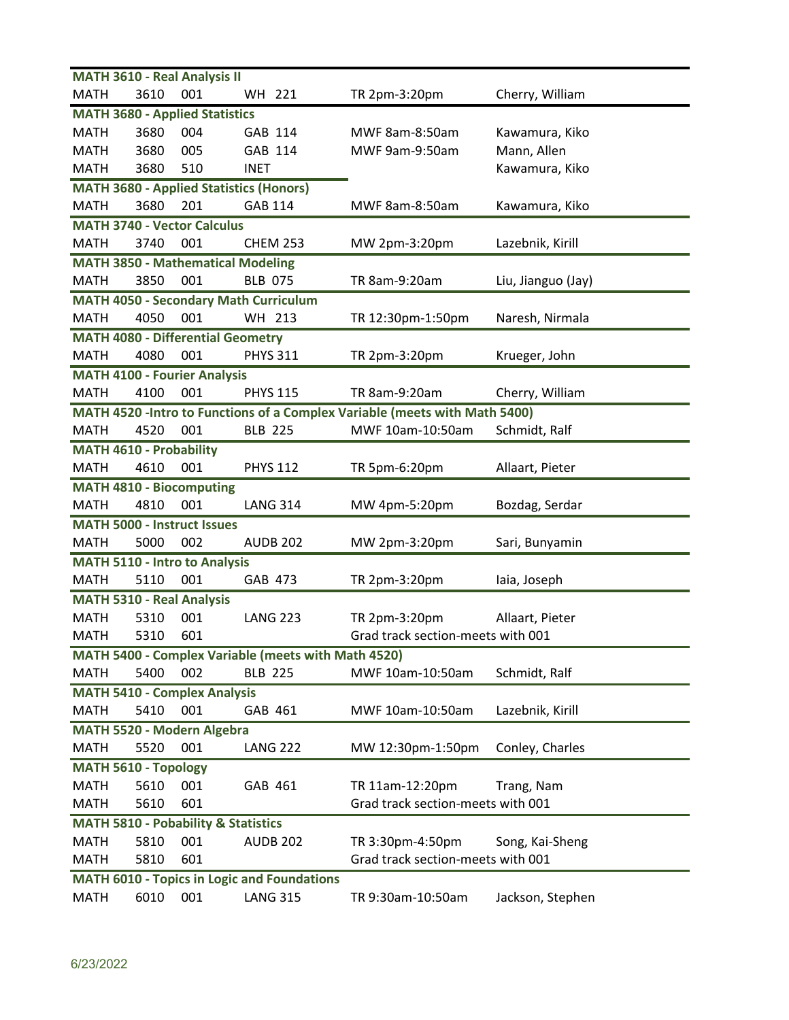|                                  |      | <b>MATH 3610 - Real Analysis II</b>            |                                                     |                                                                             |                    |
|----------------------------------|------|------------------------------------------------|-----------------------------------------------------|-----------------------------------------------------------------------------|--------------------|
| <b>MATH</b>                      | 3610 | 001                                            | WH 221                                              | TR 2pm-3:20pm                                                               | Cherry, William    |
|                                  |      | <b>MATH 3680 - Applied Statistics</b>          |                                                     |                                                                             |                    |
| <b>MATH</b>                      | 3680 | 004                                            | GAB 114                                             | MWF 8am-8:50am                                                              | Kawamura, Kiko     |
| <b>MATH</b>                      | 3680 | 005                                            | GAB 114                                             | MWF 9am-9:50am                                                              | Mann, Allen        |
| <b>MATH</b>                      | 3680 | 510                                            | <b>INET</b>                                         |                                                                             | Kawamura, Kiko     |
|                                  |      |                                                | <b>MATH 3680 - Applied Statistics (Honors)</b>      |                                                                             |                    |
| <b>MATH</b>                      | 3680 | 201                                            | <b>GAB 114</b>                                      | MWF 8am-8:50am                                                              | Kawamura, Kiko     |
|                                  |      | <b>MATH 3740 - Vector Calculus</b>             |                                                     |                                                                             |                    |
| <b>MATH</b>                      | 3740 | 001                                            | <b>CHEM 253</b>                                     | MW 2pm-3:20pm                                                               | Lazebnik, Kirill   |
|                                  |      | <b>MATH 3850 - Mathematical Modeling</b>       |                                                     |                                                                             |                    |
| <b>MATH</b>                      | 3850 | 001                                            | <b>BLB 075</b>                                      | TR 8am-9:20am                                                               | Liu, Jianguo (Jay) |
|                                  |      |                                                | <b>MATH 4050 - Secondary Math Curriculum</b>        |                                                                             |                    |
| <b>MATH</b>                      | 4050 | 001                                            | WH 213                                              | TR 12:30pm-1:50pm                                                           | Naresh, Nirmala    |
|                                  |      | <b>MATH 4080 - Differential Geometry</b>       |                                                     |                                                                             |                    |
| <b>MATH</b>                      | 4080 | 001                                            | <b>PHYS 311</b>                                     | TR 2pm-3:20pm                                                               | Krueger, John      |
|                                  |      | <b>MATH 4100 - Fourier Analysis</b>            |                                                     |                                                                             |                    |
| <b>MATH</b>                      | 4100 | 001                                            | <b>PHYS 115</b>                                     | TR 8am-9:20am                                                               | Cherry, William    |
|                                  |      |                                                |                                                     | MATH 4520 - Intro to Functions of a Complex Variable (meets with Math 5400) |                    |
| <b>MATH</b>                      | 4520 | 001                                            | <b>BLB 225</b>                                      | MWF 10am-10:50am                                                            | Schmidt, Ralf      |
| <b>MATH 4610 - Probability</b>   |      |                                                |                                                     |                                                                             |                    |
| <b>MATH</b>                      | 4610 | 001                                            | <b>PHYS 112</b>                                     | TR 5pm-6:20pm                                                               | Allaart, Pieter    |
|                                  |      | <b>MATH 4810 - Biocomputing</b>                |                                                     |                                                                             |                    |
| <b>MATH</b>                      | 4810 | 001                                            | <b>LANG 314</b>                                     | MW 4pm-5:20pm                                                               | Bozdag, Serdar     |
|                                  |      | <b>MATH 5000 - Instruct Issues</b>             |                                                     |                                                                             |                    |
| <b>MATH</b>                      | 5000 | 002                                            | <b>AUDB 202</b>                                     | MW 2pm-3:20pm                                                               | Sari, Bunyamin     |
|                                  |      | <b>MATH 5110 - Intro to Analysis</b>           |                                                     |                                                                             |                    |
| MATH                             | 5110 | 001                                            | GAB 473                                             | TR 2pm-3:20pm                                                               | laia, Joseph       |
| <b>MATH 5310 - Real Analysis</b> |      |                                                |                                                     |                                                                             |                    |
| <b>MATH</b>                      | 5310 | 001                                            | <b>LANG 223</b>                                     | TR 2pm-3:20pm                                                               | Allaart, Pieter    |
| <b>MATH</b>                      | 5310 | 601                                            |                                                     | Grad track section-meets with 001                                           |                    |
|                                  |      |                                                | MATH 5400 - Complex Variable (meets with Math 4520) |                                                                             |                    |
| <b>MATH</b>                      | 5400 | 002                                            | <b>BLB 225</b>                                      | MWF 10am-10:50am                                                            | Schmidt, Ralf      |
|                                  |      | <b>MATH 5410 - Complex Analysis</b>            |                                                     |                                                                             |                    |
| <b>MATH</b>                      | 5410 | 001                                            | GAB 461                                             | MWF 10am-10:50am                                                            | Lazebnik, Kirill   |
|                                  |      | MATH 5520 - Modern Algebra                     |                                                     |                                                                             |                    |
| <b>MATH</b>                      | 5520 | 001                                            | <b>LANG 222</b>                                     | MW 12:30pm-1:50pm                                                           | Conley, Charles    |
| MATH 5610 - Topology             |      |                                                |                                                     |                                                                             |                    |
| <b>MATH</b>                      | 5610 | 001                                            | GAB 461                                             | TR 11am-12:20pm                                                             | Trang, Nam         |
| <b>MATH</b>                      | 5610 | 601                                            |                                                     | Grad track section-meets with 001                                           |                    |
|                                  |      | <b>MATH 5810 - Pobability &amp; Statistics</b> |                                                     |                                                                             |                    |
| <b>MATH</b>                      | 5810 | 001                                            | <b>AUDB 202</b>                                     | TR 3:30pm-4:50pm                                                            | Song, Kai-Sheng    |
| <b>MATH</b>                      | 5810 | 601                                            |                                                     | Grad track section-meets with 001                                           |                    |
|                                  |      |                                                | <b>MATH 6010 - Topics in Logic and Foundations</b>  |                                                                             |                    |
| <b>MATH</b>                      | 6010 | 001                                            | <b>LANG 315</b>                                     | TR 9:30am-10:50am                                                           | Jackson, Stephen   |
|                                  |      |                                                |                                                     |                                                                             |                    |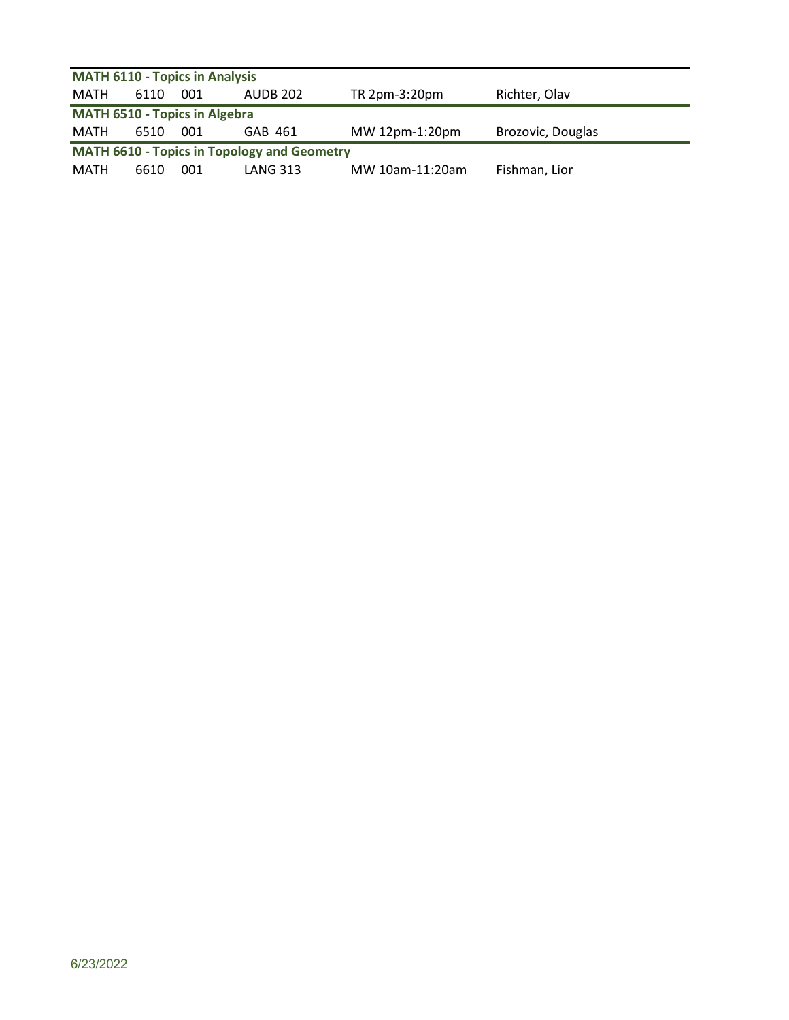| <b>MATH 6110 - Topics in Analysis</b> |      |     |                                                    |                |                   |  |  |  |
|---------------------------------------|------|-----|----------------------------------------------------|----------------|-------------------|--|--|--|
| MATH                                  | 6110 | 001 | AUDB 202                                           | TR 2pm-3:20pm  | Richter, Olav     |  |  |  |
| <b>MATH 6510 - Topics in Algebra</b>  |      |     |                                                    |                |                   |  |  |  |
|                                       |      |     |                                                    |                |                   |  |  |  |
| MATH                                  | 6510 | 001 | GAB 461                                            | MW 12pm-1:20pm | Brozovic, Douglas |  |  |  |
|                                       |      |     | <b>MATH 6610 - Topics in Topology and Geometry</b> |                |                   |  |  |  |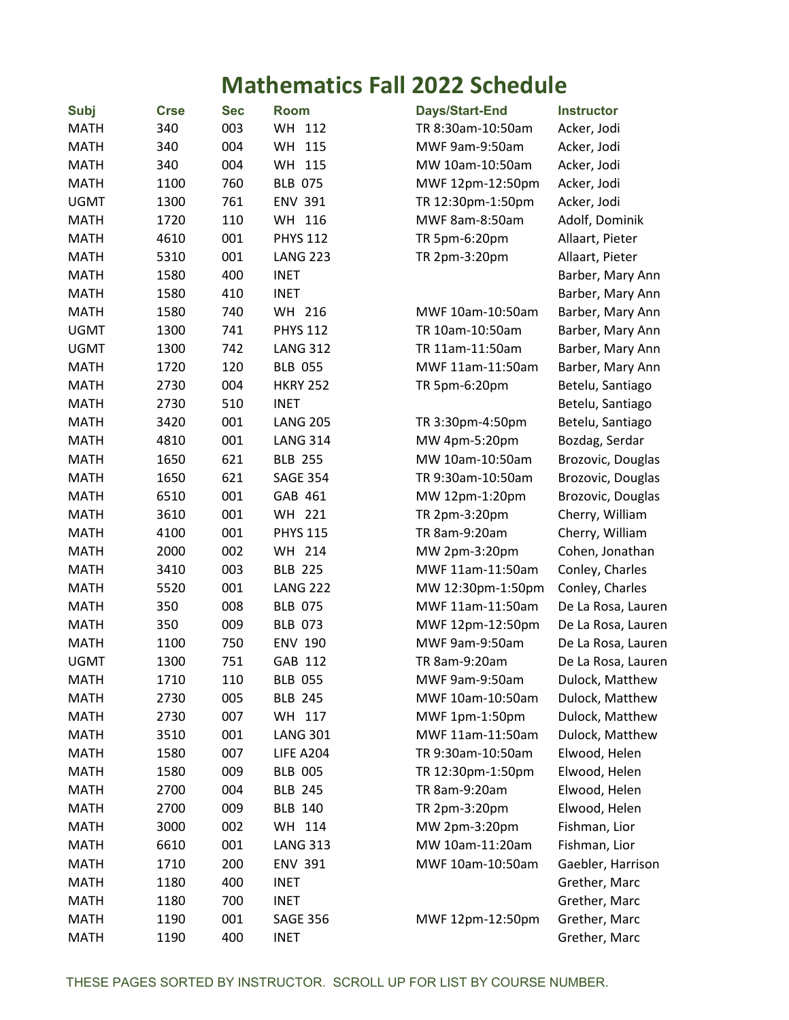## **Mathematics Fall 2022 Schedule**

| <b>Subj</b> | <b>Crse</b> | <b>Sec</b> | <b>Room</b>      | Days/Start-End    | <b>Instructor</b>  |
|-------------|-------------|------------|------------------|-------------------|--------------------|
| <b>MATH</b> | 340         | 003        | WH 112           | TR 8:30am-10:50am | Acker, Jodi        |
| <b>MATH</b> | 340         | 004        | WH<br>115        | MWF 9am-9:50am    | Acker, Jodi        |
| <b>MATH</b> | 340         | 004        | WH 115           | MW 10am-10:50am   | Acker, Jodi        |
| <b>MATH</b> | 1100        | 760        | <b>BLB 075</b>   | MWF 12pm-12:50pm  | Acker, Jodi        |
| <b>UGMT</b> | 1300        | 761        | <b>ENV 391</b>   | TR 12:30pm-1:50pm | Acker, Jodi        |
| <b>MATH</b> | 1720        | 110        | WH 116           | MWF 8am-8:50am    | Adolf, Dominik     |
| <b>MATH</b> | 4610        | 001        | <b>PHYS 112</b>  | TR 5pm-6:20pm     | Allaart, Pieter    |
| <b>MATH</b> | 5310        | 001        | <b>LANG 223</b>  | TR 2pm-3:20pm     | Allaart, Pieter    |
| <b>MATH</b> | 1580        | 400        | <b>INET</b>      |                   | Barber, Mary Ann   |
| <b>MATH</b> | 1580        | 410        | <b>INET</b>      |                   | Barber, Mary Ann   |
| <b>MATH</b> | 1580        | 740        | WH 216           | MWF 10am-10:50am  | Barber, Mary Ann   |
| <b>UGMT</b> | 1300        | 741        | <b>PHYS 112</b>  | TR 10am-10:50am   | Barber, Mary Ann   |
| <b>UGMT</b> | 1300        | 742        | <b>LANG 312</b>  | TR 11am-11:50am   | Barber, Mary Ann   |
| <b>MATH</b> | 1720        | 120        | <b>BLB 055</b>   | MWF 11am-11:50am  | Barber, Mary Ann   |
| <b>MATH</b> | 2730        | 004        | <b>HKRY 252</b>  | TR 5pm-6:20pm     | Betelu, Santiago   |
| <b>MATH</b> | 2730        | 510        | <b>INET</b>      |                   | Betelu, Santiago   |
| <b>MATH</b> | 3420        | 001        | <b>LANG 205</b>  | TR 3:30pm-4:50pm  | Betelu, Santiago   |
| <b>MATH</b> | 4810        | 001        | <b>LANG 314</b>  | MW 4pm-5:20pm     | Bozdag, Serdar     |
| <b>MATH</b> | 1650        | 621        | <b>BLB 255</b>   | MW 10am-10:50am   | Brozovic, Douglas  |
| <b>MATH</b> | 1650        | 621        | <b>SAGE 354</b>  | TR 9:30am-10:50am | Brozovic, Douglas  |
| <b>MATH</b> | 6510        | 001        | GAB 461          | MW 12pm-1:20pm    | Brozovic, Douglas  |
| <b>MATH</b> | 3610        | 001        | WH 221           | TR 2pm-3:20pm     | Cherry, William    |
| <b>MATH</b> | 4100        | 001        | <b>PHYS 115</b>  | TR 8am-9:20am     | Cherry, William    |
| <b>MATH</b> | 2000        | 002        | WH 214           | MW 2pm-3:20pm     | Cohen, Jonathan    |
| <b>MATH</b> | 3410        | 003        | <b>BLB 225</b>   | MWF 11am-11:50am  | Conley, Charles    |
| <b>MATH</b> | 5520        | 001        | <b>LANG 222</b>  | MW 12:30pm-1:50pm | Conley, Charles    |
| <b>MATH</b> | 350         | 008        | <b>BLB 075</b>   | MWF 11am-11:50am  | De La Rosa, Lauren |
| <b>MATH</b> | 350         | 009        | <b>BLB 073</b>   | MWF 12pm-12:50pm  | De La Rosa, Lauren |
| <b>MATH</b> | 1100        | 750        | <b>ENV 190</b>   | MWF 9am-9:50am    | De La Rosa, Lauren |
| <b>UGMT</b> | 1300        | 751        | GAB 112          | TR 8am-9:20am     | De La Rosa, Lauren |
| <b>MATH</b> | 1710        | 110        | <b>BLB 055</b>   | MWF 9am-9:50am    | Dulock, Matthew    |
| <b>MATH</b> | 2730        | 005        | <b>BLB 245</b>   | MWF 10am-10:50am  | Dulock, Matthew    |
| <b>MATH</b> | 2730        | 007        | WH 117           | MWF 1pm-1:50pm    | Dulock, Matthew    |
| <b>MATH</b> | 3510        | 001        | <b>LANG 301</b>  | MWF 11am-11:50am  | Dulock, Matthew    |
| <b>MATH</b> | 1580        | 007        | <b>LIFE A204</b> | TR 9:30am-10:50am | Elwood, Helen      |
| <b>MATH</b> | 1580        | 009        | <b>BLB 005</b>   | TR 12:30pm-1:50pm | Elwood, Helen      |
| <b>MATH</b> | 2700        | 004        | <b>BLB 245</b>   | TR 8am-9:20am     | Elwood, Helen      |
| <b>MATH</b> | 2700        | 009        | <b>BLB 140</b>   | TR 2pm-3:20pm     | Elwood, Helen      |
| <b>MATH</b> | 3000        | 002        | WH 114           | MW 2pm-3:20pm     | Fishman, Lior      |
| <b>MATH</b> | 6610        | 001        | <b>LANG 313</b>  | MW 10am-11:20am   | Fishman, Lior      |
| <b>MATH</b> | 1710        | 200        | <b>ENV 391</b>   | MWF 10am-10:50am  | Gaebler, Harrison  |
| <b>MATH</b> | 1180        | 400        | <b>INET</b>      |                   | Grether, Marc      |
| <b>MATH</b> | 1180        | 700        | <b>INET</b>      |                   | Grether, Marc      |
| <b>MATH</b> | 1190        | 001        | <b>SAGE 356</b>  | MWF 12pm-12:50pm  | Grether, Marc      |
| <b>MATH</b> | 1190        | 400        | <b>INET</b>      |                   | Grether, Marc      |
|             |             |            |                  |                   |                    |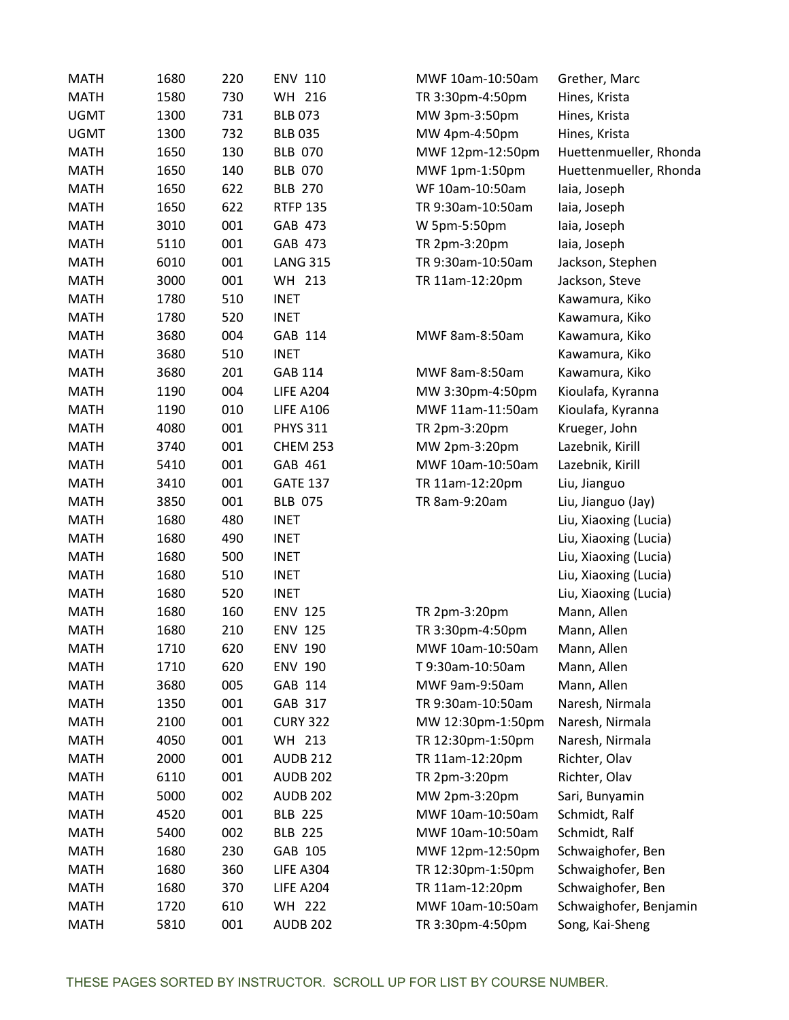| <b>MATH</b> | 1680 | 220 | <b>ENV 110</b>   | MWF 10am-10:50am  | Grether, Marc          |
|-------------|------|-----|------------------|-------------------|------------------------|
| <b>MATH</b> | 1580 | 730 | WH 216           | TR 3:30pm-4:50pm  | Hines, Krista          |
| <b>UGMT</b> | 1300 | 731 | <b>BLB 073</b>   | MW 3pm-3:50pm     | Hines, Krista          |
| <b>UGMT</b> | 1300 | 732 | <b>BLB 035</b>   | MW 4pm-4:50pm     | Hines, Krista          |
| <b>MATH</b> | 1650 | 130 | <b>BLB 070</b>   | MWF 12pm-12:50pm  | Huettenmueller, Rhonda |
| <b>MATH</b> | 1650 | 140 | <b>BLB 070</b>   | MWF 1pm-1:50pm    | Huettenmueller, Rhonda |
| <b>MATH</b> | 1650 | 622 | <b>BLB 270</b>   | WF 10am-10:50am   | laia, Joseph           |
| <b>MATH</b> | 1650 | 622 | <b>RTFP 135</b>  | TR 9:30am-10:50am | laia, Joseph           |
| <b>MATH</b> | 3010 | 001 | GAB 473          | W 5pm-5:50pm      | laia, Joseph           |
| <b>MATH</b> | 5110 | 001 | GAB 473          | TR 2pm-3:20pm     | laia, Joseph           |
| <b>MATH</b> | 6010 | 001 | <b>LANG 315</b>  | TR 9:30am-10:50am | Jackson, Stephen       |
| <b>MATH</b> | 3000 | 001 | WH 213           | TR 11am-12:20pm   | Jackson, Steve         |
| <b>MATH</b> | 1780 | 510 | <b>INET</b>      |                   | Kawamura, Kiko         |
| <b>MATH</b> | 1780 | 520 | <b>INET</b>      |                   | Kawamura, Kiko         |
| <b>MATH</b> | 3680 | 004 | GAB 114          | MWF 8am-8:50am    | Kawamura, Kiko         |
| <b>MATH</b> | 3680 | 510 | <b>INET</b>      |                   | Kawamura, Kiko         |
| <b>MATH</b> | 3680 | 201 | GAB 114          | MWF 8am-8:50am    | Kawamura, Kiko         |
| <b>MATH</b> | 1190 | 004 | <b>LIFE A204</b> | MW 3:30pm-4:50pm  | Kioulafa, Kyranna      |
| <b>MATH</b> | 1190 | 010 | <b>LIFE A106</b> | MWF 11am-11:50am  | Kioulafa, Kyranna      |
| <b>MATH</b> | 4080 | 001 | <b>PHYS 311</b>  | TR 2pm-3:20pm     | Krueger, John          |
| <b>MATH</b> | 3740 | 001 | <b>CHEM 253</b>  | MW 2pm-3:20pm     | Lazebnik, Kirill       |
| <b>MATH</b> | 5410 | 001 | GAB 461          | MWF 10am-10:50am  | Lazebnik, Kirill       |
| <b>MATH</b> | 3410 | 001 | <b>GATE 137</b>  | TR 11am-12:20pm   | Liu, Jianguo           |
| <b>MATH</b> | 3850 | 001 | <b>BLB 075</b>   | TR 8am-9:20am     | Liu, Jianguo (Jay)     |
| <b>MATH</b> | 1680 | 480 | <b>INET</b>      |                   | Liu, Xiaoxing (Lucia)  |
| <b>MATH</b> | 1680 | 490 | <b>INET</b>      |                   | Liu, Xiaoxing (Lucia)  |
| <b>MATH</b> | 1680 | 500 | <b>INET</b>      |                   | Liu, Xiaoxing (Lucia)  |
| <b>MATH</b> | 1680 | 510 | <b>INET</b>      |                   | Liu, Xiaoxing (Lucia)  |
| <b>MATH</b> | 1680 | 520 | <b>INET</b>      |                   | Liu, Xiaoxing (Lucia)  |
| <b>MATH</b> | 1680 | 160 | <b>ENV 125</b>   | TR 2pm-3:20pm     | Mann, Allen            |
| <b>MATH</b> | 1680 | 210 | <b>ENV 125</b>   | TR 3:30pm-4:50pm  | Mann, Allen            |
| <b>MATH</b> | 1710 | 620 | <b>ENV 190</b>   | MWF 10am-10:50am  | Mann, Allen            |
| <b>MATH</b> | 1710 | 620 | ENV 190          | T 9:30am-10:50am  | Mann, Allen            |
| <b>MATH</b> | 3680 | 005 | GAB 114          | MWF 9am-9:50am    | Mann, Allen            |
| <b>MATH</b> | 1350 | 001 | GAB 317          | TR 9:30am-10:50am | Naresh, Nirmala        |
| <b>MATH</b> | 2100 | 001 | <b>CURY 322</b>  | MW 12:30pm-1:50pm | Naresh, Nirmala        |
| <b>MATH</b> | 4050 | 001 | WH 213           | TR 12:30pm-1:50pm | Naresh, Nirmala        |
| <b>MATH</b> | 2000 | 001 | <b>AUDB 212</b>  | TR 11am-12:20pm   | Richter, Olav          |
| <b>MATH</b> | 6110 | 001 | <b>AUDB 202</b>  | TR 2pm-3:20pm     | Richter, Olav          |
| <b>MATH</b> | 5000 | 002 | <b>AUDB 202</b>  | MW 2pm-3:20pm     | Sari, Bunyamin         |
| <b>MATH</b> | 4520 | 001 | <b>BLB 225</b>   | MWF 10am-10:50am  | Schmidt, Ralf          |
| <b>MATH</b> | 5400 | 002 | <b>BLB 225</b>   | MWF 10am-10:50am  | Schmidt, Ralf          |
| <b>MATH</b> | 1680 | 230 | GAB 105          | MWF 12pm-12:50pm  | Schwaighofer, Ben      |
| <b>MATH</b> | 1680 | 360 | <b>LIFE A304</b> | TR 12:30pm-1:50pm | Schwaighofer, Ben      |
| <b>MATH</b> | 1680 | 370 | <b>LIFE A204</b> | TR 11am-12:20pm   | Schwaighofer, Ben      |
| <b>MATH</b> | 1720 | 610 | WH 222           | MWF 10am-10:50am  | Schwaighofer, Benjamin |
| <b>MATH</b> | 5810 | 001 | <b>AUDB 202</b>  | TR 3:30pm-4:50pm  | Song, Kai-Sheng        |